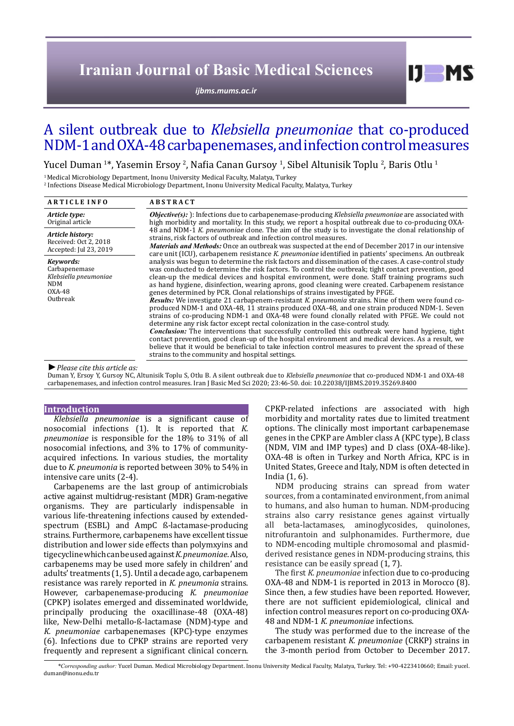# **Iranian Journal of Basic Medical Sciences**

*[ijbms.mums.ac.ir](http://ijbms.mums.ac.ir)*

# A silent outbreak due to *Klebsiella pneumoniae* that co-produced NDM-1 and OXA-48 carbapenemases, and infection control measures

Yucel Duman 1\*, Yasemin Ersoy <sup>2</sup>, Nafia Canan Gursoy <sup>1</sup>, Sibel Altunisik Toplu <sup>2</sup>, Baris Otlu <sup>1</sup>

1 Medical Microbiology Department, Inonu University Medical Faculty, Malatya, Turkey

2 Infections Disease Medical Microbiology Department, Inonu University Medical Faculty, Malatya, Turkey

| <b>ARTICLE INFO</b>                                                                     | <b>ABSTRACT</b>                                                                                                                                                                                                                                                                                                                                                                                                                                                                                                                                                                                                                                                                                                                                                                                                                                                                                                                                                                                                                                                                                                                                                                                                                                                                   |  |  |  |  |  |  |
|-----------------------------------------------------------------------------------------|-----------------------------------------------------------------------------------------------------------------------------------------------------------------------------------------------------------------------------------------------------------------------------------------------------------------------------------------------------------------------------------------------------------------------------------------------------------------------------------------------------------------------------------------------------------------------------------------------------------------------------------------------------------------------------------------------------------------------------------------------------------------------------------------------------------------------------------------------------------------------------------------------------------------------------------------------------------------------------------------------------------------------------------------------------------------------------------------------------------------------------------------------------------------------------------------------------------------------------------------------------------------------------------|--|--|--|--|--|--|
| Article type:<br>Original article                                                       | <b><i>Objective(s):</i></b> ): Infections due to carbapenemase-producing Klebsiella pneumoniae are associated with<br>high morbidity and mortality. In this study, we report a hospital outbreak due to co-producing OXA-                                                                                                                                                                                                                                                                                                                                                                                                                                                                                                                                                                                                                                                                                                                                                                                                                                                                                                                                                                                                                                                         |  |  |  |  |  |  |
| Article history:<br>Received: Oct 2, 2018<br>Accepted: Jul 23, 2019                     | 48 and NDM-1 K, pneumoniae clone. The aim of the study is to investigate the clonal relationship of<br>strains, risk factors of outbreak and infection control measures.<br><i>Materials and Methods:</i> Once an outbreak was suspected at the end of December 2017 in our intensive<br>care unit (ICU), carbapenem resistance K. pneumoniae identified in patients' specimens. An outbreak                                                                                                                                                                                                                                                                                                                                                                                                                                                                                                                                                                                                                                                                                                                                                                                                                                                                                      |  |  |  |  |  |  |
| Keywords:<br>Carbapenemase<br>Klebsiella pneumoniae<br><b>NDM</b><br>0XA-48<br>Outbreak | analysis was begun to determine the risk factors and dissemination of the cases. A case-control study<br>was conducted to determine the risk factors. To control the outbreak; tight contact prevention, good<br>clean-up the medical devices and hospital environment, were done. Staff training programs such<br>as hand hygiene, disinfection, wearing aprons, good cleaning were created. Carbapenem resistance<br>genes determined by PCR. Clonal relationships of strains investigated by PFGE.<br><b>Results:</b> We investigate 21 carbapenem-resistant K, pneumonia strains. Nine of them were found co-<br>produced NDM-1 and OXA-48, 11 strains produced OXA-48, and one strain produced NDM-1. Seven<br>strains of co-producing NDM-1 and OXA-48 were found clonally related with PFGE. We could not<br>determine any risk factor except rectal colonization in the case-control study.<br><b>Conclusion:</b> The interventions that successfully controlled this outbreak were hand hygiene, tight<br>contact prevention, good clean-up of the hospital environment and medical devices. As a result, we<br>believe that it would be beneficial to take infection control measures to prevent the spread of these<br>strains to the community and hospital settings. |  |  |  |  |  |  |
| $\blacktriangleright$ Plaase cita this article as:                                      |                                                                                                                                                                                                                                                                                                                                                                                                                                                                                                                                                                                                                                                                                                                                                                                                                                                                                                                                                                                                                                                                                                                                                                                                                                                                                   |  |  |  |  |  |  |

## *►Please cite this article as:*

Duman Y, Ersoy Y, Gursoy NC, Altunisik Toplu S, Otlu B. A silent outbreak due to *Klebsiella pneumoniae* that co-produced NDM-1 and OXA-48 carbapenemases, and infection control measures. Iran J Basic Med Sci 2020; 23:46-50. doi: 10.22038/IJBMS.2019.35269.8400

## **Introduction**

*Klebsiella pneumoniae* is a significant cause of nosocomial infections (1). It is reported that *K. pneumoniae* is responsible for the 18% to 31% of all nosocomial infections, and 3% to 17% of communityacquired infections. In various studies, the mortality due to *K. pneumonia* is reported between 30% to 54% in intensive care units (2-4).

Carbapenems are the last group of antimicrobials active against multidrug-resistant (MDR) Gram-negative organisms. They are particularly indispensable in various life-threatening infections caused by extendedspectrum (ESBL) and AmpC ß-lactamase-producing strains. Furthermore, carbapenems have excellent tissue distribution and lower side effects than polymxyins and tigecycline which can be used against *K. pneumoniae*. Also, carbapenems may be used more safely in children' and adults' treatments (1, 5). Until a decade ago, carbapenem resistance was rarely reported in *K. pneumonia* strains. However, carbapenemase-producing *K. pneumoniae*  (CPKP) isolates emerged and disseminated worldwide, principally producing the oxacillinase-48 (OXA-48) like, New-Delhi metallo-ß-lactamase (NDM)-type and *K. pneumoniae* carbapenemases (KPC)-type enzymes (6). Infections due to CPKP strains are reported very frequently and represent a significant clinical concern.

CPKP-related infections are associated with high morbidity and mortality rates due to limited treatment options. The clinically most important carbapenemase genes in the CPKP are Ambler class A (KPC type), B class (NDM, VIM and IMP types) and D class (OXA-48-like). OXA-48 is often in Turkey and North Africa, KPC is in United States, Greece and Italy, NDM is often detected in India (1, 6).

 $I$   $I$   $M$   $S$ 

NDM producing strains can spread from water sources, from a contaminated environment, from animal to humans, and also human to human. NDM-producing strains also carry resistance genes against virtually beta-lactamases, aminoglycosides, quinolones, nitrofurantoin and sulphonamides. Furthermore, due to NDM-encoding multiple chromosomal and plasmidderived resistance genes in NDM-producing strains, this resistance can be easily spread (1, 7).

The first *K. pneumoniae* infection due to co-producing OXA-48 and NDM-1 is reported in 2013 in Morocco (8). Since then, a few studies have been reported. However, there are not sufficient epidemiological, clinical and infection control measures report on co-producing OXA-48 and NDM-1 *K. pneumoniae* infections.

The study was performed due to the increase of the carbapenem resistant *K. pneumoniae* (CRKP) strains in the 3-month period from October to December 2017.

*\*Corresponding author:* Yucel Duman. Medical Microbiology Department. Inonu University Medical Faculty, Malatya, Turkey. Tel: +90-4223410660; Email: yucel. duman@inonu.edu.tr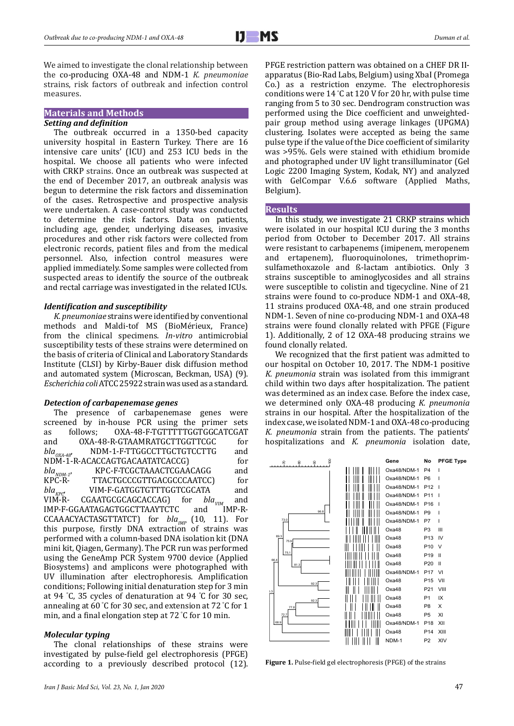We aimed to investigate the clonal relationship between the co-producing OXA-48 and NDM-1 *K. pneumoniae* strains, risk factors of outbreak and infection control measures.

# **Materials and Methods**

#### *Setting and definition*

The outbreak occurred in a 1350-bed capacity university hospital in Eastern Turkey. There are 16 intensive care units' (ICU) and 253 ICU beds in the hospital. We choose all patients who were infected with CRKP strains. Once an outbreak was suspected at the end of December 2017, an outbreak analysis was begun to determine the risk factors and dissemination of the cases. Retrospective and prospective analysis were undertaken. A case-control study was conducted to determine the risk factors. Data on patients, including age, gender, underlying diseases, invasive procedures and other risk factors were collected from electronic records, patient files and from the medical personnel. Also, infection control measures were applied immediately. Some samples were collected from suspected areas to identify the source of the outbreak and rectal carriage was investigated in the related ICUs.

#### *Identification and susceptibility*

*K. pneumoniae* strains were identified by conventional methods and Maldi-tof MS (BioMérieux, France) from the clinical specimens. *In-vitro* antimicrobial susceptibility tests of these strains were determined on the basis of criteria of Clinical and Laboratory Standards Institute (CLSI) by Kirby-Bauer disk diffusion method and automated system (Microscan, Beckman, USA) (9). *Escherichia coli* ATCC 25922 strain was used as a standard.

#### *Detection of carbapenemase genes*

The presence of carbapenemase genes were screened by in-house PCR using the primer sets<br>as follows; OXA-48-F-TGTTTTTGGTGGCATCGAT as follows; OXA-48-F-TGTTTTTGGTGGCATCGAT<br>and OXA-48-R-GTAAMRATGCTTGGTTCGC for and  $OXA-48-R-GTAAMRATGCTTGGTTCGC$  for<br>  $bla_{OXA-48}$  NDM-1-F-TTGGCCTTGCTGTCCTTG and /DM-1-F-TTGGCCTTGCTGTCCTTG and<br>CACCAGTGACAATATCACCG) for NDM-1-R-ACACCAGTGACAATATCACCG) for<br> *bla<sub>NDM-1</sub>*, KPC-F-TCGCTAAACTCGAACAGG and<br>
KPC-R- TTACTGCCCGTTGACGCCCAATCC) for *blaNDM-1*, KPC-F-TCGCTAAACTCGAACAGG and KPC-R- TTACTGCCCGTTGACGCCCAATCC) for<br>
bla<sub>vna</sub> VIM-F-GATGGTGTTTGGTCGCATA and *bla<sub>KPC</sub>* VIM-F-GATGGTGTTTGGTCGCATA and<br>VIM-R- CGAATGCGCAGCACCAG) for *bla<sub>VIM</sub>* and CGAATGCGCAGCACCAG) for *bla<sub>VIM</sub>* and<br>AATAGAGTGGCTTAAYTCTC and IMP-R-IMP-F-GGAATAGAGTGGCTTAAYTCTC CCAAACYACTASGTTATCT) for *bla<sub>IMP</sub>* (10, 11). For this purpose, firstly DNA extraction of strains was performed with a column-based DNA isolation kit (DNA mini kit, Qiagen, Germany). The PCR run was performed using the GeneAmp PCR System 9700 device (Applied Biosystems) and amplicons were photographed with UV illumination after electrophoresis. Amplification conditions; Following initial denaturation step for 3 min at 94 ° C, 35 cycles of denaturation at 94 ° C for 30 sec, annealing at 60 ° C for 30 sec, and extension at 72 ° C for 1 min, and a final elongation step at 72 ° C for 10 min.

#### *Molecular typing*

The clonal relationships of these strains were investigated by pulse-field gel electrophoresis (PFGE) according to a previously described protocol (12). PFGE restriction pattern was obtained on a CHEF DR IIapparatus (Bio-Rad Labs, Belgium) using XbaI (Promega Co.) as a restriction enzyme. The electrophoresis conditions were 14 ° C at 120 V for 20 hr, with pulse time ranging from 5 to 30 sec. Dendrogram construction was performed using the Dice coefficient and unweightedpair group method using average linkages (UPGMA) clustering. Isolates were accepted as being the same pulse type if the value of the Dice coefficient of similarity was >95%. Gels were stained with ethidium bromide and photographed under UV light transilluminator (Gel Logic 2200 Imaging System, Kodak, NY) and analyzed with GelCompar V.6.6 software (Applied Maths, Belgium).

#### **Results**

In this study, we investigate 21 CRKP strains which were isolated in our hospital ICU during the 3 months period from October to December 2017. All strains were resistant to carbapenems (imipenem, meropenem and ertapenem), fluoroquinolones, trimethoprimsulfamethoxazole and ß-lactam antibiotics. Only 3 strains susceptible to aminoglycosides and all strains were susceptible to colistin and tigecycline. Nine of 21 strains were found to co-produce NDM-1 and OXA-48, 11 strains produced OXA-48, and one strain produced NDM-1. Seven of nine co-producing NDM-1 and OXA-48 strains were found clonally related with PFGE (Figure 1). Additionally, 2 of 12 OXA-48 producing strains we found clonally related.

We recognized that the first patient was admitted to our hospital on October 10, 2017. The NDM-1 positive *K. pneumonia* strain was isolated from this immigrant child within two days after hospitalization. The patient was determined as an index case. Before the index case, we determined only OXA-48 producing *K. pneumonia* strains in our hospital. After the hospitalization of the index case, we isolated NDM-1 and OXA-48 co-producing *K. pneumonia* strain from the patients. The patients' hospitalizations and *K. pneumonia* isolation date,



**Figure 1.** Pulse-field gel electrophoresis (PFGE) of the strains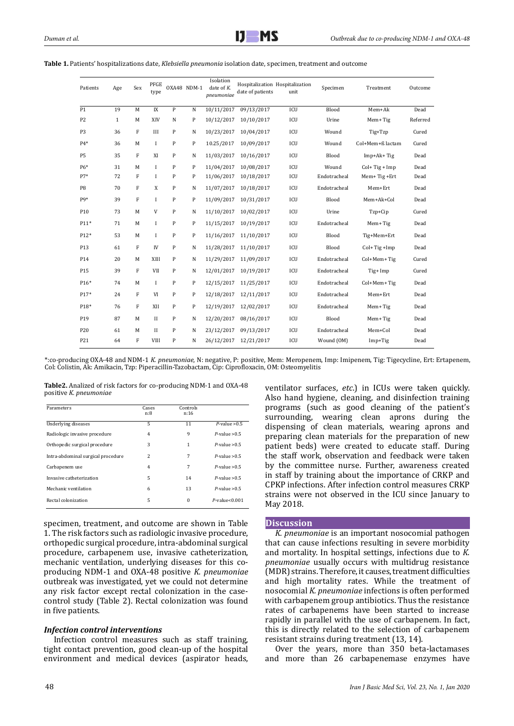| Patients       | Age          | Sex | PFGE<br>type |              | OXA48 NDM-1  | Isolation<br>date of $K$ .<br>pneumoniae | date of patients | Hospitalization Hospitalization<br>unit | Specimen     | Treatment        | Outcome  |
|----------------|--------------|-----|--------------|--------------|--------------|------------------------------------------|------------------|-----------------------------------------|--------------|------------------|----------|
| P1             | 19           | M   | IX           | P            | $\mathbf N$  | 10/11/2017                               | 09/13/2017       | <b>ICU</b>                              | Blood        | Mem+Ak           | Dead     |
| P <sub>2</sub> | $\mathbf{1}$ | M   | XIV          | N            | P            | 10/12/2017                               | 10/10/2017       | ICU                                     | Urine        | Mem+ Tig         | Referred |
| P <sub>3</sub> | 36           | F   | III          | P            | N            | 10/23/2017                               | 10/04/2017       | ICU                                     | Wound        | Tig+Tzp          | Cured    |
| $P4*$          | 36           | M   | $\mathbf{I}$ | P            | P            | 10.25/2017                               | 10/09/2017       | ICU                                     | Wound        | Col+Mem+ß lactam | Cured    |
| <b>P5</b>      | 35           | F   | XI           | P            | $\mathbf N$  | 11/03/2017                               | 10/16/2017       | ICU                                     | Blood        | $Imp+Ak+Tig$     | Dead     |
| P6*            | 31           | M   | I            | P            | $\mathbf{P}$ | 11/04/2017                               | 10/08/2017       | ICU                                     | Wound        | $Col+Tig+Imp$    | Dead     |
| $P7*$          | 72           | F   | I            | $\mathbf{P}$ | P            | 11/06/2017                               | 10/18/2017       | ICU                                     | Endotracheal | Mem+Tig+Ert      | Dead     |
| P <sub>8</sub> | 70           | F   | X            | P            | N            | 11/07/2017                               | 10/18/2017       | ICU                                     | Endotracheal | Mem+Ert          | Dead     |
| pq*            | 39           | F   | I            | P            | P            | 11/09/2017                               | 10/31/2017       | ICU                                     | Blood        | Mem+Ak+Col       | Dead     |
| P10            | 73           | M   | V            | $\mathbf{P}$ | $\mathbf N$  | 11/10/2017                               | 10/02/2017       | ICU                                     | Urine        | Tzp+Cip          | Cured    |
| $P11*$         | 71           | M   | I            | P            | P            | 11/15/2017                               | 10/19/2017       | ICU                                     | Endotracheal | Mem+Tig          | Dead     |
| P12*           | 53           | M   | I            | $\mathbf{P}$ | $\mathbf{P}$ | 11/16/2017                               | 11/10/2017       | ICU                                     | Blood        | Tig+Mem+Ert      | Dead     |
| P13            | 61           | F   | IV           | P            | N            | 11/28/2017                               | 11/10/2017       | ICU                                     | Blood        | $Col+Tig+Imp$    | Dead     |
| P14            | 20           | M   | XIII         | P            | $\mathbf N$  | 11/29/2017                               | 11/09/2017       | ICU                                     | Endotracheal | Col+Mem+Tig      | Cured    |
| P15            | 39           | F   | <b>VII</b>   | P            | N            | 12/01/2017                               | 10/19/2017       | ICU                                     | Endotracheal | Tig+ Imp         | Cured    |
| $P16*$         | 74           | M   | $\mathbf I$  | P            | P            | 12/15/2017                               | 11/25/2017       | ICU                                     | Endotracheal | Col+Mem+Tig      | Dead     |
| $P17*$         | 24           | F   | VI           | P            | P            | 12/18/2017                               | 12/11/2017       | ICU                                     | Endotracheal | Mem+Ert          | Dead     |
| P18*           | 76           | F   | XII          | P            | $\mathbf{P}$ | 12/19/2017                               | 12/02/2017       | ICU                                     | Endotracheal | Mem+Tig          | Dead     |
| P19            | 87           | M   | $\mathbf{I}$ | P            | $\mathbf N$  | 12/20/2017                               | 08/16/2017       | ICU                                     | Blood        | Mem+Tig          | Dead     |
| P20            | 61           | M   | $\mathbf{I}$ | P            | $\,$ N       | 23/12/2017                               | 09/13/2017       | ICU                                     | Endotracheal | Mem+Col          | Dead     |
| P21            | 64           | F   | <b>VIII</b>  | P            | N            | 26/12/2017                               | 12/21/2017       | <b>ICU</b>                              | Wound (OM)   | $Imp+Tig$        | Dead     |

**Table 1.** Patients' hospitalizations date, *Klebsiella pneumonia* isolation date, specimen, treatment and outcome

\*:co-producing OXA-48 and NDM-1 *K. pneumoniae*, N: negative, P: positive, Mem: Meropenem, Imp: Imipenem, Tig: Tigecycline, Ert: Ertapenem, Col: Colistin, Ak: Amikacin, Tzp: Piperacillin-Tazobactam, Cip: Ciprofloxacin, OM: Osteomyelitis

**Table2.** Analized of risk factors for co-producing NDM-1 and OXA-48 positive *K. pneumoniae*

| Parameters                         | Cases<br>n:8 | Controls<br>n:16 |                     |
|------------------------------------|--------------|------------------|---------------------|
| Underlying diseases                | 5            | 11               | $P$ -value $>0.5$   |
| Radiologic invasive procedure      | 4            | 9                | $P$ -value $> 0.5$  |
| Orthopedic surgical procedure      | 3            | 1                | $P$ -value $> 0.5$  |
| Intra-abdominal surgical procedure | 2            | 7                | $P$ -value $> 0.5$  |
| Carbapenem use                     | 4            | 7                | $P$ -value $> 0.5$  |
| Invasive catheterization           | 5            | 14               | $P$ -value $> 0.5$  |
| Mechanic ventilation               | 6            | 13               | $P$ -value $> 0.5$  |
| Rectal colonization                | 5            | $\Omega$         | $P$ -value< $0.001$ |

specimen, treatment, and outcome are shown in Table 1. The risk factors such as radiologic invasive procedure, orthopedic surgical procedure, intra-abdominal surgical procedure, carbapenem use, invasive catheterization, mechanic ventilation, underlying diseases for this coproducing NDM-1 and OXA-48 positive *K. pneumoniae* outbreak was investigated, yet we could not determine any risk factor except rectal colonization in the casecontrol study (Table 2). Rectal colonization was found in five patients.

#### *Infection control interventions*

Infection control measures such as staff training, tight contact prevention, good clean-up of the hospital environment and medical devices (aspirator heads,

ventilator surfaces, *etc*.) in ICUs were taken quickly. Also hand hygiene, cleaning, and disinfection training programs (such as good cleaning of the patient's surrounding, wearing clean aprons during the dispensing of clean materials, wearing aprons and preparing clean materials for the preparation of new patient beds) were created to educate staff. During the staff work, observation and feedback were taken by the committee nurse. Further, awareness created in staff by training about the importance of CRKP and CPKP infections. After infection control measures CRKP strains were not observed in the ICU since January to May 2018.

#### **Discussion**

*K. pneumoniae* is an important nosocomial pathogen that can cause infections resulting in severe morbidity and mortality. In hospital settings, infections due to *K. pneumoniae* usually occurs with multidrug resistance (MDR) strains. Therefore, it causes, treatment difficulties and high mortality rates. While the treatment of 1 nosocomial *K. pneumoniae* infections is often performed with carbapenem group antibiotics. Thus the resistance rates of carbapenems have been started to increase rapidly in parallel with the use of carbapenem. In fact, this is directly related to the selection of carbapenem resistant strains during treatment (13, 14).

Over the years, more than 350 beta-lactamases and more than 26 carbapenemase enzymes have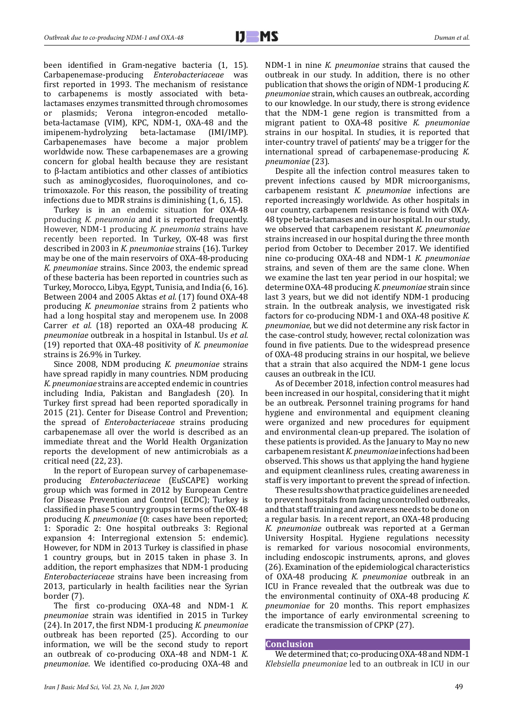been identified in Gram-negative bacteria (1, 15). Carbapenemase-producing *Enterobacteriaceae* was first reported in 1993. The mechanism of resistance to carbapenems is mostly associated with betalactamases enzymes transmitted through chromosomes plasmids; Verona integron-encoded metallobeta-lactamase (VIM), KPC, NDM-1, OXA-48 and the imipenem-hydrolyzing Carbapenemases have become a major problem worldwide now. These carbapenemases are a growing concern for global health because they are resistant to β-lactam antibiotics and other classes of antibiotics such as aminoglycosides, fluoroquinolones, and cotrimoxazole. For this reason, the possibility of treating infections due to MDR strains is diminishing (1, 6, 15).

Turkey is in an endemic situation for OXA-48 producing *K. pneumonia* and it is reported frequently. However, NDM-1 producing *K. pneumonia* strains have recently been reported. In Turkey, OX-48 was first described in 2003 in *K. pneumoniae* strains (16). Turkey may be one of the main reservoirs of OXA-48-producing *K. pneumoniae* strains. Since 2003, the endemic spread of these bacteria has been reported in countries such as Turkey, Morocco, Libya, Egypt, Tunisia, and India (6, 16). Between 2004 and 2005 Aktas *et al.* (17) found OXA-48 producing *K. pneumoniae* strains from 2 patients who had a long hospital stay and meropenem use. In 2008 Carrer *et al.* (18) reported an OXA-48 producing *K. pneumoniae* outbreak in a hospital in Istanbul. Us *et al.*  (19) reported that OXA-48 positivity of *K. pneumoniae* strains is 26.9% in Turkey.

Since 2008, NDM producing *K. pneumoniae* strains have spread rapidly in many countries. NDM producing *K. pneumoniae* strains are accepted endemic in countries including India, Pakistan and Bangladesh (20). In Turkey first spread had been reported sporadically in 2015 (21). Center for Disease Control and Prevention; the spread of *Enterobacteriaceae* strains producing carbapenemase all over the world is described as an immediate threat and the World Health Organization reports the development of new antimicrobials as a critical need (22, 23).

In the report of European survey of carbapenemaseproducing *Enterobacteriaceae* (EuSCAPE) working group which was formed in 2012 by European Centre for Disease Prevention and Control (ECDC); Turkey is classified in phase 5 country groups in terms of the OX-48 producing *K. pneumoniae* (0: cases have been reported; 1: Sporadic 2: One hospital outbreaks 3: Regional expansion 4: Interregional extension 5: endemic). However, for NDM in 2013 Turkey is classified in phase 1 country groups, but in 2015 taken in phase 3. In addition, the report emphasizes that NDM-1 producing *Enterobacteriaceae* strains have been increasing from 2013, particularly in health facilities near the Syrian border (7).

The first co-producing OXA-48 and NDM-1 *K. pneumoniae* strain was identified in 2015 in Turkey (24). In 2017, the first NDM-1 producing *K. pneumoniae* outbreak has been reported (25). According to our information, we will be the second study to report an outbreak of co-producing OXA-48 and NDM-1 *K. pneumoniae*. We identified co-producing OXA-48 and

NDM-1 in nine *K. pneumoniae* strains that caused the outbreak in our study. In addition, there is no other publication that shows the origin of NDM-1 producing *K. pneumoniae* strain, which causes an outbreak, according to our knowledge. In our study, there is strong evidence that the NDM-1 gene region is transmitted from a migrant patient to OXA-48 positive *K. pneumoniae* strains in our hospital. In studies, it is reported that inter-country travel of patients' may be a trigger for the international spread of carbapenemase-producing *K. pneumoniae* (23).

Despite all the infection control measures taken to prevent infections caused by MDR microorganisms, carbapenem resistant *K. pneumoniae* infections are reported increasingly worldwide. As other hospitals in our country, carbapenem resistance is found with OXA-48 type beta-lactamases and in our hospital. In our study, we observed that carbapenem resistant *K. pneumoniae* strains increased in our hospital during the three month period from October to December 2017. We identified nine co-producing OXA-48 and NDM-1 *K. pneumoniae*  strains, and seven of them are the same clone. When we examine the last ten year period in our hospital; we determine OXA-48 producing *K. pneumoniae* strain since last 3 years, but we did not identify NDM-1 producing strain. In the outbreak analysis, we investigated risk factors for co-producing NDM-1 and OXA-48 positive *K. pneumoniae*, but we did not determine any risk factor in the case-control study, however, rectal colonization was found in five patients. Due to the widespread presence of OXA-48 producing strains in our hospital, we believe that a strain that also acquired the NDM-1 gene locus causes an outbreak in the ICU.

As of December 2018, infection control measures had been increased in our hospital, considering that it might be an outbreak. Personnel training programs for hand hygiene and environmental and equipment cleaning were organized and new procedures for equipment and environmental clean-up prepared. The isolation of these patients is provided. As the January to May no new carbapenem resistant *K. pneumoniae* infections had been observed. This shows us that applying the hand hygiene and equipment cleanliness rules, creating awareness in staff is very important to prevent the spread of infection.

These results show that practice guidelines are needed to prevent hospitals from facing uncontrolled outbreaks, and that staff training and awareness needs to be done on a regular basis. In a recent report, an OXA-48 producing *K. pneumoniae* outbreak was reported at a German University Hospital. Hygiene regulations necessity is remarked for various nosocomial environments, including endoscopic instruments, aprons, and gloves (26). Examination of the epidemiological characteristics of OXA-48 producing *K. pneumoniae* outbreak in an ICU in France revealed that the outbreak was due to the environmental continuity of OXA-48 producing *K. pneumoniae* for 20 months. This report emphasizes the importance of early environmental screening to eradicate the transmission of CPKP (27).

## **Conclusion**

We determined that; co-producing OXA-48 and NDM-1 *Klebsiella pneumoniae* led to an outbreak in ICU in our